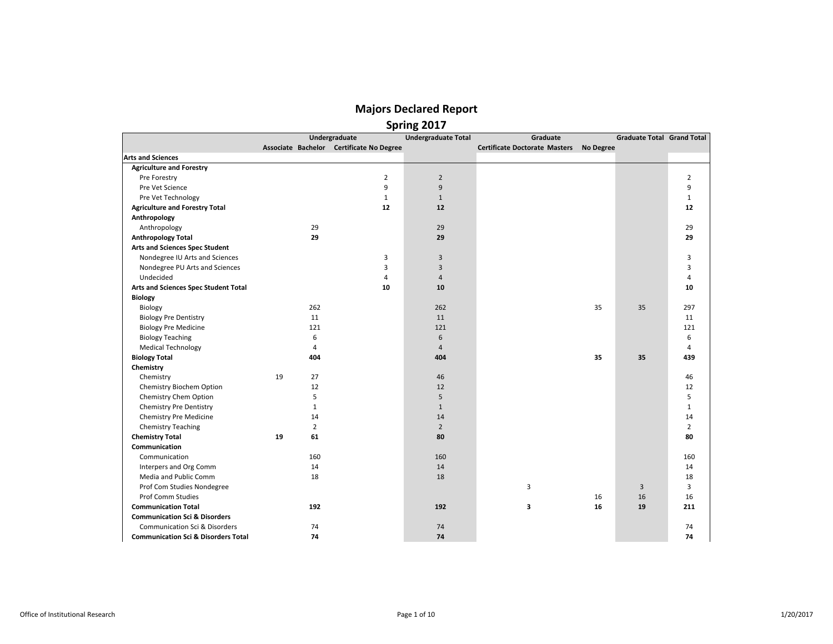|  | Spring 2017 |
|--|-------------|
|  |             |

|                                                |    |                | Undergraduate                            | <b>Undergraduate Total</b> | Graduate                             |           | Graduate Total Grand Total |                |
|------------------------------------------------|----|----------------|------------------------------------------|----------------------------|--------------------------------------|-----------|----------------------------|----------------|
|                                                |    |                | Associate Bachelor Certificate No Degree |                            | <b>Certificate Doctorate Masters</b> | No Degree |                            |                |
| <b>Arts and Sciences</b>                       |    |                |                                          |                            |                                      |           |                            |                |
| <b>Agriculture and Forestry</b>                |    |                |                                          |                            |                                      |           |                            |                |
| Pre Forestry                                   |    |                | $\overline{2}$                           | $\overline{2}$             |                                      |           |                            | $\overline{2}$ |
| Pre Vet Science                                |    |                | 9                                        | 9                          |                                      |           |                            | 9              |
| Pre Vet Technology                             |    |                | $\mathbf{1}$                             | $\mathbf{1}$               |                                      |           |                            | $\mathbf{1}$   |
| <b>Agriculture and Forestry Total</b>          |    |                | 12                                       | 12                         |                                      |           |                            | 12             |
| Anthropology                                   |    |                |                                          |                            |                                      |           |                            |                |
| Anthropology                                   |    | 29             |                                          | 29                         |                                      |           |                            | 29             |
| <b>Anthropology Total</b>                      |    | 29             |                                          | 29                         |                                      |           |                            | 29             |
| <b>Arts and Sciences Spec Student</b>          |    |                |                                          |                            |                                      |           |                            |                |
| Nondegree IU Arts and Sciences                 |    |                | 3                                        | $\overline{3}$             |                                      |           |                            | $\overline{3}$ |
| Nondegree PU Arts and Sciences                 |    |                | 3                                        | $\overline{3}$             |                                      |           |                            | 3              |
| Undecided                                      |    |                | $\overline{4}$                           | $\overline{4}$             |                                      |           |                            | 4              |
| Arts and Sciences Spec Student Total           |    |                | 10                                       | 10                         |                                      |           |                            | 10             |
| <b>Biology</b>                                 |    |                |                                          |                            |                                      |           |                            |                |
| Biology                                        |    | 262            |                                          | 262                        |                                      | 35        | 35                         | 297            |
| <b>Biology Pre Dentistry</b>                   |    | 11             |                                          | 11                         |                                      |           |                            | 11             |
| <b>Biology Pre Medicine</b>                    |    | 121            |                                          | 121                        |                                      |           |                            | 121            |
| <b>Biology Teaching</b>                        |    | 6              |                                          | 6                          |                                      |           |                            | 6              |
| <b>Medical Technology</b>                      |    | 4              |                                          | $\overline{4}$             |                                      |           |                            | 4              |
| <b>Biology Total</b>                           |    | 404            |                                          | 404                        |                                      | 35        | 35                         | 439            |
| Chemistry                                      |    |                |                                          |                            |                                      |           |                            |                |
| Chemistry                                      | 19 | 27             |                                          | 46                         |                                      |           |                            | 46             |
| Chemistry Biochem Option                       |    | 12             |                                          | 12                         |                                      |           |                            | 12             |
| Chemistry Chem Option                          |    | 5              |                                          | 5                          |                                      |           |                            | 5              |
| <b>Chemistry Pre Dentistry</b>                 |    | $\mathbf{1}$   |                                          | $\mathbf{1}$               |                                      |           |                            | $\mathbf{1}$   |
| Chemistry Pre Medicine                         |    | 14             |                                          | 14                         |                                      |           |                            | 14             |
| Chemistry Teaching                             |    | $\overline{2}$ |                                          | $\overline{2}$             |                                      |           |                            | $\overline{2}$ |
| <b>Chemistry Total</b>                         | 19 | 61             |                                          | 80                         |                                      |           |                            | 80             |
| Communication                                  |    |                |                                          |                            |                                      |           |                            |                |
| Communication                                  |    | 160            |                                          | 160                        |                                      |           |                            | 160            |
| Interpers and Org Comm                         |    | 14             |                                          | 14                         |                                      |           |                            | 14             |
| Media and Public Comm                          |    | 18             |                                          | 18                         |                                      |           |                            | 18             |
| Prof Com Studies Nondegree                     |    |                |                                          |                            | 3                                    |           | 3                          | 3              |
| Prof Comm Studies                              |    |                |                                          |                            |                                      | 16        | 16                         | 16             |
| <b>Communication Total</b>                     |    | 192            |                                          | 192                        | 3                                    | 16        | 19                         | 211            |
| <b>Communication Sci &amp; Disorders</b>       |    |                |                                          |                            |                                      |           |                            |                |
| Communication Sci & Disorders                  |    | 74             |                                          | 74                         |                                      |           |                            | 74             |
| <b>Communication Sci &amp; Disorders Total</b> |    | 74             |                                          | 74                         |                                      |           |                            | 74             |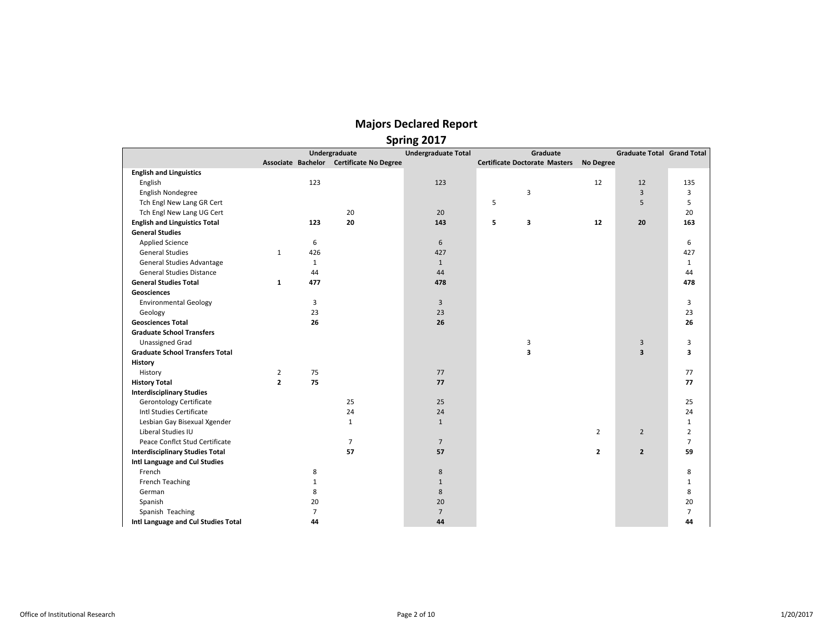|                                        |                |                |                                          | <b>Spring ZOT</b>          |                                      |                |                                   |                |
|----------------------------------------|----------------|----------------|------------------------------------------|----------------------------|--------------------------------------|----------------|-----------------------------------|----------------|
|                                        |                |                | Undergraduate                            | <b>Undergraduate Total</b> | Graduate                             |                | <b>Graduate Total Grand Total</b> |                |
|                                        |                |                | Associate Bachelor Certificate No Degree |                            | <b>Certificate Doctorate Masters</b> | No Degree      |                                   |                |
| <b>English and Linguistics</b>         |                |                |                                          |                            |                                      |                |                                   |                |
| English                                |                | 123            |                                          | 123                        |                                      | 12             | 12                                | 135            |
| English Nondegree                      |                |                |                                          |                            | 3                                    |                | $\overline{3}$                    | 3              |
| Tch Engl New Lang GR Cert              |                |                |                                          |                            | 5                                    |                | 5                                 | 5              |
| Tch Engl New Lang UG Cert              |                |                | 20                                       | 20                         |                                      |                |                                   | 20             |
| <b>English and Linguistics Total</b>   |                | 123            | 20                                       | 143                        | 5<br>3                               | 12             | 20                                | 163            |
| <b>General Studies</b>                 |                |                |                                          |                            |                                      |                |                                   |                |
| <b>Applied Science</b>                 |                | 6              |                                          | 6                          |                                      |                |                                   | 6              |
| <b>General Studies</b>                 | $\mathbf{1}$   | 426            |                                          | 427                        |                                      |                |                                   | 427            |
| <b>General Studies Advantage</b>       |                | $\mathbf{1}$   |                                          | $\mathbf{1}$               |                                      |                |                                   | $\mathbf{1}$   |
| <b>General Studies Distance</b>        |                | 44             |                                          | 44                         |                                      |                |                                   | 44             |
| <b>General Studies Total</b>           | $\mathbf{1}$   | 477            |                                          | 478                        |                                      |                |                                   | 478            |
| Geosciences                            |                |                |                                          |                            |                                      |                |                                   |                |
| <b>Environmental Geology</b>           |                | 3              |                                          | 3                          |                                      |                |                                   | 3              |
| Geology                                |                | 23             |                                          | 23                         |                                      |                |                                   | 23             |
| <b>Geosciences Total</b>               |                | 26             |                                          | 26                         |                                      |                |                                   | 26             |
| <b>Graduate School Transfers</b>       |                |                |                                          |                            |                                      |                |                                   |                |
| <b>Unassigned Grad</b>                 |                |                |                                          |                            | 3                                    |                | $\mathbf{3}$                      | 3              |
| <b>Graduate School Transfers Total</b> |                |                |                                          |                            | 3                                    |                | $\overline{\mathbf{3}}$           | 3              |
| History                                |                |                |                                          |                            |                                      |                |                                   |                |
| History                                | $\overline{2}$ | 75             |                                          | 77                         |                                      |                |                                   | 77             |
| <b>History Total</b>                   | $\mathbf{z}$   | 75             |                                          | 77                         |                                      |                |                                   | 77             |
| <b>Interdisciplinary Studies</b>       |                |                |                                          |                            |                                      |                |                                   |                |
| <b>Gerontology Certificate</b>         |                |                | 25                                       | 25                         |                                      |                |                                   | 25             |
| Intl Studies Certificate               |                |                | 24                                       | 24                         |                                      |                |                                   | 24             |
| Lesbian Gay Bisexual Xgender           |                |                | $\mathbf{1}$                             | $\mathbf{1}$               |                                      |                |                                   | $\mathbf{1}$   |
| Liberal Studies IU                     |                |                |                                          |                            |                                      | $\overline{2}$ | $\overline{2}$                    | $\overline{2}$ |
| Peace Conflct Stud Certificate         |                |                | $\overline{7}$                           | $\overline{7}$             |                                      |                |                                   | $\overline{7}$ |
| <b>Interdisciplinary Studies Total</b> |                |                | 57                                       | 57                         |                                      | $\mathbf{2}$   | $\overline{2}$                    | 59             |
| Intl Language and Cul Studies          |                |                |                                          |                            |                                      |                |                                   |                |
| French                                 |                | 8              |                                          | 8                          |                                      |                |                                   | 8              |
| French Teaching                        |                | $\mathbf{1}$   |                                          | $\mathbf{1}$               |                                      |                |                                   | $\mathbf{1}$   |
| German                                 |                | 8              |                                          | 8                          |                                      |                |                                   | 8              |
| Spanish                                |                | 20             |                                          | 20                         |                                      |                |                                   | 20             |
| Spanish Teaching                       |                | $\overline{7}$ |                                          | $\overline{7}$             |                                      |                |                                   | $\overline{7}$ |
| Intl Language and Cul Studies Total    |                | 44             |                                          | 44                         |                                      |                |                                   | 44             |
|                                        |                |                |                                          |                            |                                      |                |                                   |                |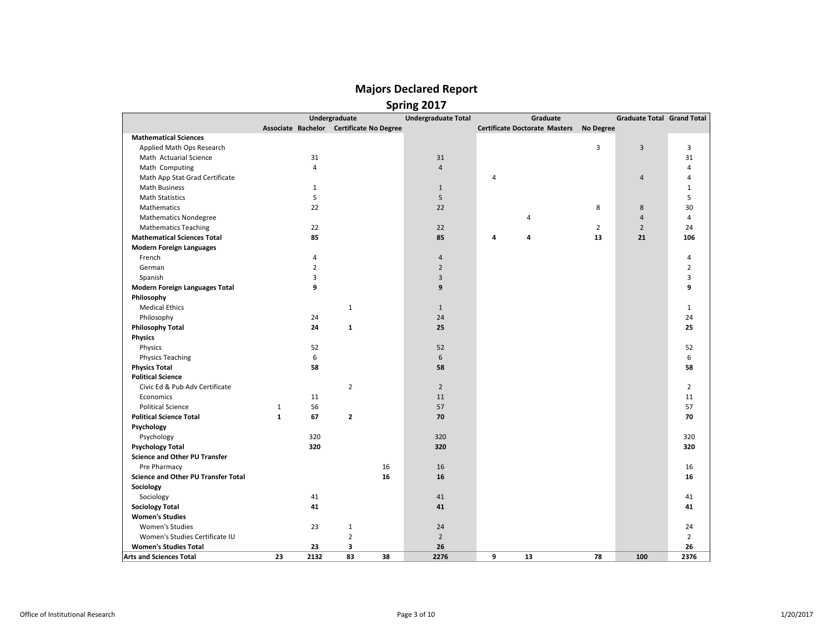|                                       |                                          | Undergraduate  |    | <b>Undergraduate Total</b> |   | Graduate                                |                | <b>Graduate Total Grand Total</b> |                |
|---------------------------------------|------------------------------------------|----------------|----|----------------------------|---|-----------------------------------------|----------------|-----------------------------------|----------------|
|                                       | Associate Bachelor Certificate No Degree |                |    |                            |   | Certificate Doctorate Masters No Degree |                |                                   |                |
| <b>Mathematical Sciences</b>          |                                          |                |    |                            |   |                                         |                |                                   |                |
| Applied Math Ops Research             |                                          |                |    |                            |   |                                         | 3              | $\overline{3}$                    | 3              |
| Math Actuarial Science                | 31                                       |                |    | 31                         |   |                                         |                |                                   | 31             |
| Math Computing                        | $\overline{4}$                           |                |    | $\overline{4}$             |   |                                         |                |                                   | 4              |
| Math App Stat Grad Certificate        |                                          |                |    |                            | 4 |                                         |                | $\overline{4}$                    | 4              |
| <b>Math Business</b>                  | $\mathbf{1}$                             |                |    | $\mathbf{1}$               |   |                                         |                |                                   | $\mathbf{1}$   |
| <b>Math Statistics</b>                | 5                                        |                |    | 5                          |   |                                         |                |                                   | 5              |
| Mathematics                           | 22                                       |                |    | 22                         |   |                                         | 8              | 8                                 | 30             |
| <b>Mathematics Nondegree</b>          |                                          |                |    |                            |   | 4                                       |                | $\overline{4}$                    | 4              |
| <b>Mathematics Teaching</b>           | 22                                       |                |    | 22                         |   |                                         | $\overline{2}$ | $\overline{2}$                    | 24             |
| <b>Mathematical Sciences Total</b>    | 85                                       |                |    | 85                         | 4 | 4                                       | 13             | 21                                | 106            |
| <b>Modern Foreign Languages</b>       |                                          |                |    |                            |   |                                         |                |                                   |                |
| French                                | 4                                        |                |    | $\overline{4}$             |   |                                         |                |                                   | 4              |
| German                                | $\overline{2}$                           |                |    | $\overline{2}$             |   |                                         |                |                                   | $\overline{2}$ |
| Spanish                               | 3                                        |                |    | 3                          |   |                                         |                |                                   | 3              |
| <b>Modern Foreign Languages Total</b> | 9                                        |                |    | 9                          |   |                                         |                |                                   | 9              |
| Philosophy                            |                                          |                |    |                            |   |                                         |                |                                   |                |
| <b>Medical Ethics</b>                 |                                          | $\mathbf{1}$   |    | $\mathbf{1}$               |   |                                         |                |                                   | $\mathbf{1}$   |
| Philosophy                            | 24                                       |                |    | 24                         |   |                                         |                |                                   | 24             |
| <b>Philosophy Total</b>               | 24                                       | $\mathbf{1}$   |    | 25                         |   |                                         |                |                                   | 25             |
| <b>Physics</b>                        |                                          |                |    |                            |   |                                         |                |                                   |                |
| Physics                               | 52                                       |                |    | 52                         |   |                                         |                |                                   | 52             |
| <b>Physics Teaching</b>               | 6                                        |                |    | 6                          |   |                                         |                |                                   | 6              |
| <b>Physics Total</b>                  | 58                                       |                |    | 58                         |   |                                         |                |                                   | 58             |
| <b>Political Science</b>              |                                          |                |    |                            |   |                                         |                |                                   |                |
| Civic Ed & Pub Adv Certificate        |                                          | $\overline{2}$ |    | $\overline{2}$             |   |                                         |                |                                   | $\overline{2}$ |
| Economics                             | 11                                       |                |    | 11                         |   |                                         |                |                                   | 11             |
| <b>Political Science</b>              | 56<br>$\mathbf{1}$                       |                |    | 57                         |   |                                         |                |                                   | 57             |
| <b>Political Science Total</b>        | $\mathbf{1}$<br>67                       | $\mathbf{z}$   |    | 70                         |   |                                         |                |                                   | 70             |
| Psychology                            |                                          |                |    |                            |   |                                         |                |                                   |                |
| Psychology                            | 320                                      |                |    | 320                        |   |                                         |                |                                   | 320            |
| <b>Psychology Total</b>               | 320                                      |                |    | 320                        |   |                                         |                |                                   | 320            |
| <b>Science and Other PU Transfer</b>  |                                          |                |    |                            |   |                                         |                |                                   |                |
| Pre Pharmacy                          |                                          |                | 16 | 16                         |   |                                         |                |                                   | 16             |
| Science and Other PU Transfer Total   |                                          |                | 16 | 16                         |   |                                         |                |                                   | 16             |
| Sociology                             |                                          |                |    |                            |   |                                         |                |                                   |                |
| Sociology                             | 41                                       |                |    | 41                         |   |                                         |                |                                   | 41             |
| <b>Sociology Total</b>                | 41                                       |                |    | 41                         |   |                                         |                |                                   | 41             |
| <b>Women's Studies</b>                |                                          |                |    |                            |   |                                         |                |                                   |                |
| Women's Studies                       | 23                                       | $\mathbf{1}$   |    | 24                         |   |                                         |                |                                   | 24             |
| Women's Studies Certificate IU        |                                          | $\overline{2}$ |    | $\overline{2}$             |   |                                         |                |                                   | $\overline{2}$ |
| <b>Women's Studies Total</b>          | 23                                       | 3              |    | 26                         |   |                                         |                |                                   | 26             |
| <b>Arts and Sciences Total</b>        | 23<br>2132                               | 83             | 38 | 2276                       | 9 | 13                                      | 78             | 100                               | 2376           |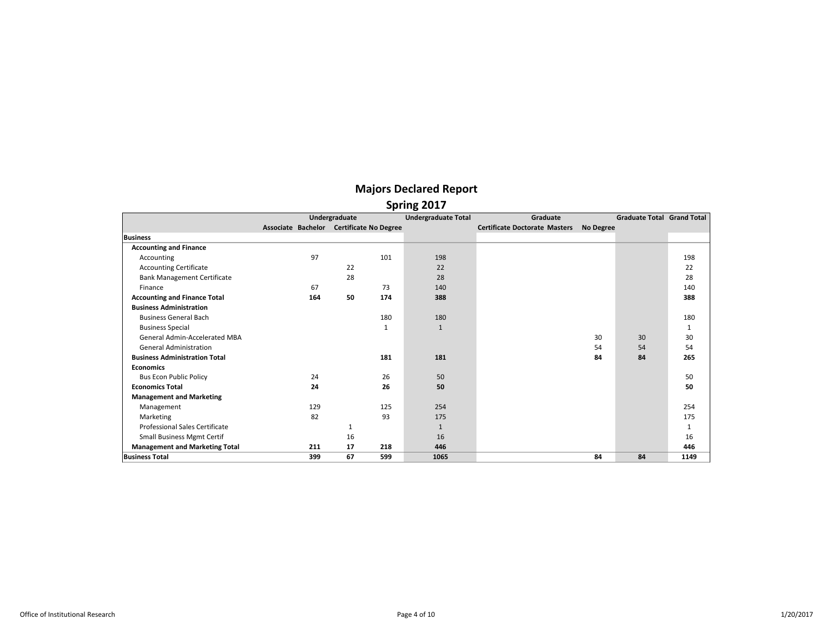|                                       |                                          | Undergraduate |     | <b>Undergraduate Total</b> | Graduate                             |           | <b>Graduate Total Grand Total</b> |      |
|---------------------------------------|------------------------------------------|---------------|-----|----------------------------|--------------------------------------|-----------|-----------------------------------|------|
|                                       | Associate Bachelor Certificate No Degree |               |     |                            | <b>Certificate Doctorate Masters</b> | No Degree |                                   |      |
| <b>Business</b>                       |                                          |               |     |                            |                                      |           |                                   |      |
| <b>Accounting and Finance</b>         |                                          |               |     |                            |                                      |           |                                   |      |
| Accounting                            | 97                                       |               | 101 | 198                        |                                      |           |                                   | 198  |
| <b>Accounting Certificate</b>         |                                          | 22            |     | 22                         |                                      |           |                                   | 22   |
| <b>Bank Management Certificate</b>    |                                          | 28            |     | 28                         |                                      |           |                                   | 28   |
| Finance                               | 67                                       |               | 73  | 140                        |                                      |           |                                   | 140  |
| <b>Accounting and Finance Total</b>   | 164                                      | 50            | 174 | 388                        |                                      |           |                                   | 388  |
| <b>Business Administration</b>        |                                          |               |     |                            |                                      |           |                                   |      |
| <b>Business General Bach</b>          |                                          |               | 180 | 180                        |                                      |           |                                   | 180  |
| <b>Business Special</b>               |                                          |               | 1   | $\mathbf{1}$               |                                      |           |                                   | 1    |
| <b>General Admin-Accelerated MBA</b>  |                                          |               |     |                            |                                      | 30        | 30                                | 30   |
| <b>General Administration</b>         |                                          |               |     |                            |                                      | 54        | 54                                | 54   |
| <b>Business Administration Total</b>  |                                          |               | 181 | 181                        |                                      | 84        | 84                                | 265  |
| <b>Economics</b>                      |                                          |               |     |                            |                                      |           |                                   |      |
| <b>Bus Econ Public Policy</b>         | 24                                       |               | 26  | 50                         |                                      |           |                                   | 50   |
| <b>Economics Total</b>                | 24                                       |               | 26  | 50                         |                                      |           |                                   | 50   |
| <b>Management and Marketing</b>       |                                          |               |     |                            |                                      |           |                                   |      |
| Management                            | 129                                      |               | 125 | 254                        |                                      |           |                                   | 254  |
| Marketing                             | 82                                       |               | 93  | 175                        |                                      |           |                                   | 175  |
| <b>Professional Sales Certificate</b> |                                          | 1             |     | $\mathbf{1}$               |                                      |           |                                   | 1    |
| <b>Small Business Mgmt Certif</b>     |                                          | 16            |     | 16                         |                                      |           |                                   | 16   |
| <b>Management and Marketing Total</b> | 211                                      | 17            | 218 | 446                        |                                      |           |                                   | 446  |
| <b>Business Total</b>                 | 399                                      | 67            | 599 | 1065                       |                                      | 84        | 84                                | 1149 |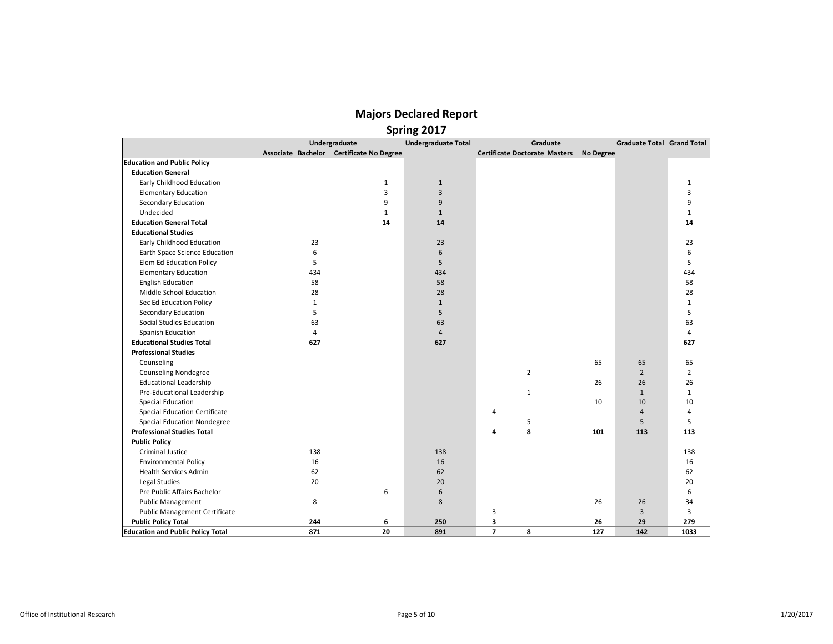|                                          |              | Undergraduate                            | <b>Undergraduate Total</b> |                | Graduate                             |           | <b>Graduate Total Grand Total</b> |              |
|------------------------------------------|--------------|------------------------------------------|----------------------------|----------------|--------------------------------------|-----------|-----------------------------------|--------------|
|                                          |              | Associate Bachelor Certificate No Degree |                            |                | <b>Certificate Doctorate Masters</b> | No Degree |                                   |              |
| <b>Education and Public Policy</b>       |              |                                          |                            |                |                                      |           |                                   |              |
| <b>Education General</b>                 |              |                                          |                            |                |                                      |           |                                   |              |
| Early Childhood Education                |              | $\mathbf{1}$                             | $1\,$                      |                |                                      |           |                                   | $\mathbf{1}$ |
| <b>Elementary Education</b>              |              | $\overline{3}$                           | $\overline{3}$             |                |                                      |           |                                   | 3            |
| <b>Secondary Education</b>               |              | 9                                        | 9                          |                |                                      |           |                                   | 9            |
| Undecided                                |              | $\mathbf{1}$                             | $\mathbf{1}$               |                |                                      |           |                                   | $\mathbf{1}$ |
| <b>Education General Total</b>           |              | 14                                       | 14                         |                |                                      |           |                                   | 14           |
| <b>Educational Studies</b>               |              |                                          |                            |                |                                      |           |                                   |              |
| Early Childhood Education                | 23           |                                          | 23                         |                |                                      |           |                                   | 23           |
| Earth Space Science Education            | 6            |                                          | 6                          |                |                                      |           |                                   | 6            |
| Elem Ed Education Policy                 | 5            |                                          | 5                          |                |                                      |           |                                   | 5            |
| <b>Elementary Education</b>              | 434          |                                          | 434                        |                |                                      |           |                                   | 434          |
| <b>English Education</b>                 | 58           |                                          | 58                         |                |                                      |           |                                   | 58           |
| Middle School Education                  | 28           |                                          | 28                         |                |                                      |           |                                   | 28           |
| Sec Ed Education Policy                  | $\mathbf{1}$ |                                          | $\mathbf{1}$               |                |                                      |           |                                   | $\mathbf{1}$ |
| <b>Secondary Education</b>               | 5            |                                          | 5                          |                |                                      |           |                                   | 5            |
| Social Studies Education                 | 63           |                                          | 63                         |                |                                      |           |                                   | 63           |
| Spanish Education                        | 4            |                                          | $\overline{4}$             |                |                                      |           |                                   | 4            |
| <b>Educational Studies Total</b>         | 627          |                                          | 627                        |                |                                      |           |                                   | 627          |
| <b>Professional Studies</b>              |              |                                          |                            |                |                                      |           |                                   |              |
| Counseling                               |              |                                          |                            |                |                                      | 65        | 65                                | 65           |
| <b>Counseling Nondegree</b>              |              |                                          |                            |                | $\overline{2}$                       |           | $\overline{2}$                    | 2            |
| <b>Educational Leadership</b>            |              |                                          |                            |                |                                      | 26        | 26                                | 26           |
| Pre-Educational Leadership               |              |                                          |                            |                | $\mathbf{1}$                         |           | $1\,$                             | $\mathbf{1}$ |
| <b>Special Education</b>                 |              |                                          |                            |                |                                      | 10        | 10                                | 10           |
| <b>Special Education Certificate</b>     |              |                                          |                            | 4              |                                      |           | $\overline{4}$                    | 4            |
| <b>Special Education Nondegree</b>       |              |                                          |                            |                | 5                                    |           | 5                                 | 5            |
| <b>Professional Studies Total</b>        |              |                                          |                            | 4              | 8                                    | 101       | 113                               | 113          |
| <b>Public Policy</b>                     |              |                                          |                            |                |                                      |           |                                   |              |
| Criminal Justice                         | 138          |                                          | 138                        |                |                                      |           |                                   | 138          |
| <b>Environmental Policy</b>              | 16           |                                          | 16                         |                |                                      |           |                                   | 16           |
| <b>Health Services Admin</b>             | 62           |                                          | 62                         |                |                                      |           |                                   | 62           |
| <b>Legal Studies</b>                     | 20           |                                          | 20                         |                |                                      |           |                                   | 20           |
| Pre Public Affairs Bachelor              |              | 6                                        | 6                          |                |                                      |           |                                   | 6            |
| <b>Public Management</b>                 | 8            |                                          | 8                          |                |                                      | 26        | 26                                | 34           |
| <b>Public Management Certificate</b>     |              |                                          |                            | 3              |                                      |           | 3                                 | 3            |
| <b>Public Policy Total</b>               | 244          | 6                                        | 250                        | 3              |                                      | 26        | 29                                | 279          |
| <b>Education and Public Policy Total</b> | 871          | 20                                       | 891                        | $\overline{ }$ | 8                                    | 127       | 142                               | 1033         |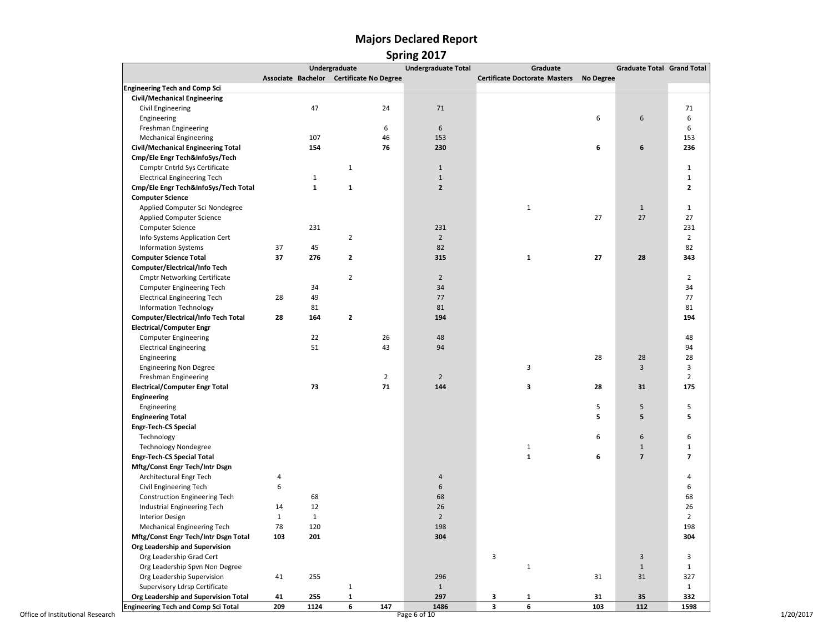### **Majors Declared Report Spring 2017**

|                                                                       |              |              | Undergraduate                            |                | <b>Undergraduate Total</b> | Graduate                             |           | <b>Graduate Total Grand Total</b> |                |
|-----------------------------------------------------------------------|--------------|--------------|------------------------------------------|----------------|----------------------------|--------------------------------------|-----------|-----------------------------------|----------------|
|                                                                       |              |              | Associate Bachelor Certificate No Degree |                |                            | <b>Certificate Doctorate Masters</b> | No Degree |                                   |                |
| <b>Engineering Tech and Comp Sci</b>                                  |              |              |                                          |                |                            |                                      |           |                                   |                |
| <b>Civil/Mechanical Engineering</b>                                   |              |              |                                          |                |                            |                                      |           |                                   |                |
| Civil Engineering                                                     |              | 47           |                                          | 24             | 71                         |                                      |           |                                   | 71             |
| Engineering                                                           |              |              |                                          |                |                            |                                      | 6         | 6                                 | 6              |
| Freshman Engineering                                                  |              |              |                                          | 6              | 6                          |                                      |           |                                   | 6              |
| <b>Mechanical Engineering</b>                                         |              | 107          |                                          | 46             | 153                        |                                      |           |                                   | 153            |
| Civil/Mechanical Engineering Total                                    |              | 154          |                                          | 76             | 230                        |                                      | 6         | 6                                 | 236            |
| Cmp/Ele Engr Tech&InfoSys/Tech                                        |              |              |                                          |                |                            |                                      |           |                                   |                |
| Comptr Cntrld Sys Certificate                                         |              |              | $\mathbf{1}$                             |                | $1\,$                      |                                      |           |                                   | $\mathbf{1}$   |
| <b>Electrical Engineering Tech</b>                                    |              | $\mathbf{1}$ |                                          |                | $1\,$                      |                                      |           |                                   | $\mathbf{1}$   |
| Cmp/Ele Engr Tech&InfoSys/Tech Total                                  |              | $\mathbf{1}$ | $\mathbf 1$                              |                | $\overline{2}$             |                                      |           |                                   | $\overline{2}$ |
| <b>Computer Science</b>                                               |              |              |                                          |                |                            |                                      |           |                                   |                |
| Applied Computer Sci Nondegree                                        |              |              |                                          |                |                            | $\mathbf{1}$                         |           | $1\,$                             | $\mathbf 1$    |
| <b>Applied Computer Science</b>                                       |              |              |                                          |                |                            |                                      | 27        | 27                                | 27             |
| Computer Science                                                      |              | 231          |                                          |                | 231                        |                                      |           |                                   | 231            |
| Info Systems Application Cert                                         |              |              | $\overline{2}$                           |                | $\overline{2}$             |                                      |           |                                   | $\overline{2}$ |
| <b>Information Systems</b>                                            | 37           | 45           |                                          |                | 82                         |                                      |           |                                   | 82             |
| <b>Computer Science Total</b>                                         | 37           | 276          | $\overline{2}$                           |                | 315                        | $\mathbf{1}$                         | 27        | 28                                | 343            |
| Computer/Electrical/Info Tech                                         |              |              |                                          |                |                            |                                      |           |                                   |                |
| <b>Cmptr Networking Certificate</b>                                   |              |              | $\overline{2}$                           |                | $\overline{2}$             |                                      |           |                                   | $\overline{2}$ |
| Computer Engineering Tech                                             |              | 34           |                                          |                | 34                         |                                      |           |                                   | 34             |
| <b>Electrical Engineering Tech</b>                                    | 28           | 49           |                                          |                | 77                         |                                      |           |                                   | 77             |
| <b>Information Technology</b>                                         |              | 81           |                                          |                | 81                         |                                      |           |                                   | 81             |
| Computer/Electrical/Info Tech Total                                   | 28           | 164          | $\overline{\mathbf{2}}$                  |                | 194                        |                                      |           |                                   | 194            |
| <b>Electrical/Computer Engr</b>                                       |              |              |                                          |                |                            |                                      |           |                                   |                |
| <b>Computer Engineering</b>                                           |              | 22           |                                          | 26             | 48                         |                                      |           |                                   | 48             |
| <b>Electrical Engineering</b>                                         |              | 51           |                                          | 43             | 94                         |                                      |           |                                   | 94             |
| Engineering                                                           |              |              |                                          |                |                            |                                      | 28        | 28                                | 28             |
| <b>Engineering Non Degree</b>                                         |              |              |                                          |                |                            | 3                                    |           | 3                                 | 3              |
| Freshman Engineering                                                  |              |              |                                          | $\overline{2}$ | $\overline{2}$             |                                      |           |                                   | $\overline{2}$ |
| <b>Electrical/Computer Engr Total</b>                                 |              | 73           |                                          | 71             | 144                        | 3                                    | 28        | 31                                | 175            |
| Engineering                                                           |              |              |                                          |                |                            |                                      |           |                                   |                |
| Engineering                                                           |              |              |                                          |                |                            |                                      | 5         | 5                                 | 5              |
| <b>Engineering Total</b>                                              |              |              |                                          |                |                            |                                      | 5         | 5                                 | 5              |
| <b>Engr-Tech-CS Special</b>                                           |              |              |                                          |                |                            |                                      |           |                                   |                |
| Technology                                                            |              |              |                                          |                |                            |                                      | 6         | 6                                 | 6              |
| <b>Technology Nondegree</b>                                           |              |              |                                          |                |                            | $\mathbf{1}$                         |           | $1\,$                             | $\mathbf{1}$   |
| <b>Engr-Tech-CS Special Total</b>                                     |              |              |                                          |                |                            | $\mathbf{1}$                         | 6         | $\overline{7}$                    | $\overline{7}$ |
| Mftg/Const Engr Tech/Intr Dsgn                                        |              |              |                                          |                |                            |                                      |           |                                   |                |
| Architectural Engr Tech                                               | 4            |              |                                          |                | $\overline{4}$             |                                      |           |                                   | 4              |
| Civil Engineering Tech                                                | 6            |              |                                          |                | $6\phantom{1}$             |                                      |           |                                   | 6              |
| <b>Construction Engineering Tech</b>                                  |              | 68           |                                          |                | 68                         |                                      |           |                                   | 68             |
| Industrial Engineering Tech                                           | 14           | 12           |                                          |                | 26                         |                                      |           |                                   | 26             |
| <b>Interior Design</b>                                                | $\mathbf{1}$ | $1\,$        |                                          |                | $\overline{2}$             |                                      |           |                                   | $\overline{2}$ |
| <b>Mechanical Engineering Tech</b>                                    | 78           | 120          |                                          |                | 198                        |                                      |           |                                   | 198            |
| Mftg/Const Engr Tech/Intr Dsgn Total                                  | 103          | 201          |                                          |                | 304                        |                                      |           |                                   | 304            |
| Org Leadership and Supervision                                        |              |              |                                          |                |                            |                                      |           |                                   |                |
| Org Leadership Grad Cert                                              |              |              |                                          |                |                            | 3                                    |           | 3                                 | 3              |
|                                                                       |              |              |                                          |                |                            | $\mathbf{1}$                         |           | $\mathbf{1}$                      | $\mathbf{1}$   |
| Org Leadership Spvn Non Degree                                        | 41           | 255          |                                          |                | 296                        |                                      | 31        | 31                                | 327            |
| Org Leadership Supervision                                            |              |              | $\mathbf{1}$                             |                | $\mathbf{1}$               |                                      |           |                                   | $\mathbf{1}$   |
| Supervisory Ldrsp Certificate<br>Org Leadership and Supervision Total | 41           | 255          | $\mathbf 1$                              |                | 297                        | 3<br>1                               | 31        | 35                                | 332            |
| <b>Engineering Tech and Comp Sci Total</b>                            | 209          | 1124         | 6                                        | 147            | 1486                       | 3<br>6                               | 103       | 112                               | 1598           |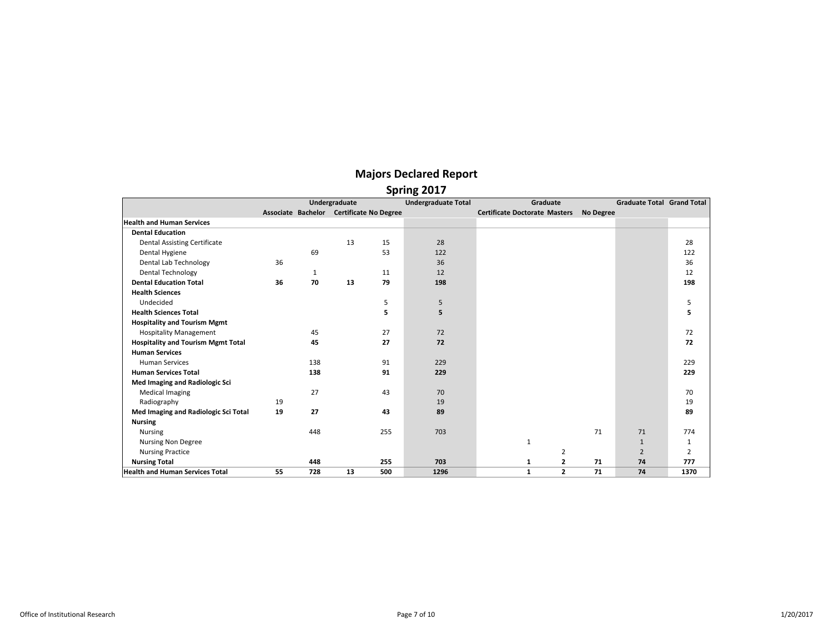|                                           |    |     | Undergraduate                            |     | <b>Undergraduate Total</b> | Graduate                             |           | <b>Graduate Total Grand Total</b> |                |
|-------------------------------------------|----|-----|------------------------------------------|-----|----------------------------|--------------------------------------|-----------|-----------------------------------|----------------|
|                                           |    |     | Associate Bachelor Certificate No Degree |     |                            | <b>Certificate Doctorate Masters</b> | No Degree |                                   |                |
| <b>Health and Human Services</b>          |    |     |                                          |     |                            |                                      |           |                                   |                |
| <b>Dental Education</b>                   |    |     |                                          |     |                            |                                      |           |                                   |                |
| <b>Dental Assisting Certificate</b>       |    |     | 13                                       | 15  | 28                         |                                      |           |                                   | 28             |
| Dental Hygiene                            |    | 69  |                                          | 53  | 122                        |                                      |           |                                   | 122            |
| Dental Lab Technology                     | 36 |     |                                          |     | 36                         |                                      |           |                                   | 36             |
| <b>Dental Technology</b>                  |    | 1   |                                          | 11  | 12                         |                                      |           |                                   | 12             |
| <b>Dental Education Total</b>             | 36 | 70  | 13                                       | 79  | 198                        |                                      |           |                                   | 198            |
| <b>Health Sciences</b>                    |    |     |                                          |     |                            |                                      |           |                                   |                |
| Undecided                                 |    |     |                                          | 5   | 5                          |                                      |           |                                   | 5              |
| <b>Health Sciences Total</b>              |    |     |                                          | 5   | 5                          |                                      |           |                                   | 5              |
| <b>Hospitality and Tourism Mgmt</b>       |    |     |                                          |     |                            |                                      |           |                                   |                |
| <b>Hospitality Management</b>             |    | 45  |                                          | 27  | 72                         |                                      |           |                                   | 72             |
| <b>Hospitality and Tourism Mgmt Total</b> |    | 45  |                                          | 27  | 72                         |                                      |           |                                   | 72             |
| <b>Human Services</b>                     |    |     |                                          |     |                            |                                      |           |                                   |                |
| <b>Human Services</b>                     |    | 138 |                                          | 91  | 229                        |                                      |           |                                   | 229            |
| <b>Human Services Total</b>               |    | 138 |                                          | 91  | 229                        |                                      |           |                                   | 229            |
| Med Imaging and Radiologic Sci            |    |     |                                          |     |                            |                                      |           |                                   |                |
| <b>Medical Imaging</b>                    |    | 27  |                                          | 43  | 70                         |                                      |           |                                   | 70             |
| Radiography                               | 19 |     |                                          |     | 19                         |                                      |           |                                   | 19             |
| Med Imaging and Radiologic Sci Total      | 19 | 27  |                                          | 43  | 89                         |                                      |           |                                   | 89             |
| <b>Nursing</b>                            |    |     |                                          |     |                            |                                      |           |                                   |                |
| <b>Nursing</b>                            |    | 448 |                                          | 255 | 703                        |                                      | 71        | 71                                | 774            |
| <b>Nursing Non Degree</b>                 |    |     |                                          |     |                            | $\mathbf{1}$                         |           | $\mathbf{1}$                      | $\mathbf{1}$   |
| <b>Nursing Practice</b>                   |    |     |                                          |     |                            | 2                                    |           | $\overline{2}$                    | $\overline{2}$ |
| <b>Nursing Total</b>                      |    | 448 |                                          | 255 | 703                        | $\mathbf{z}$<br>1                    | 71        | 74                                | 777            |
| <b>Health and Human Services Total</b>    | 55 | 728 | 13                                       | 500 | 1296                       | $\overline{2}$<br>1                  | 71        | 74                                | 1370           |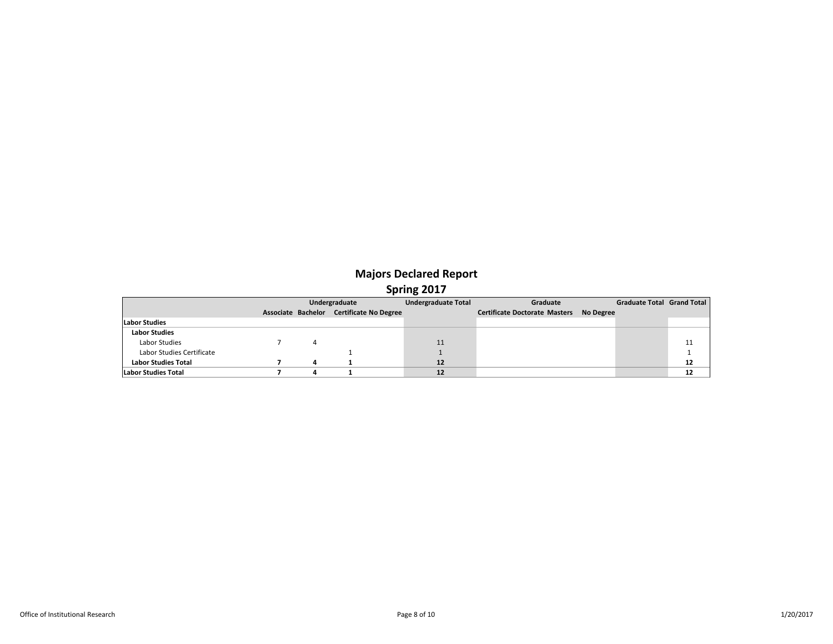|                            |   | Undergraduate                            | <b>Undergraduate Total</b> | Graduate                                | Graduate Total Grand Total |    |
|----------------------------|---|------------------------------------------|----------------------------|-----------------------------------------|----------------------------|----|
|                            |   | Associate Bachelor Certificate No Degree |                            | Certificate Doctorate Masters No Degree |                            |    |
| <b>Labor Studies</b>       |   |                                          |                            |                                         |                            |    |
| <b>Labor Studies</b>       |   |                                          |                            |                                         |                            |    |
| Labor Studies              |   |                                          | 11                         |                                         |                            | 11 |
| Labor Studies Certificate  |   |                                          |                            |                                         |                            |    |
| <b>Labor Studies Total</b> | 4 |                                          | 12                         |                                         |                            | 12 |
| Labor Studies Total        |   |                                          | 12                         |                                         |                            | 12 |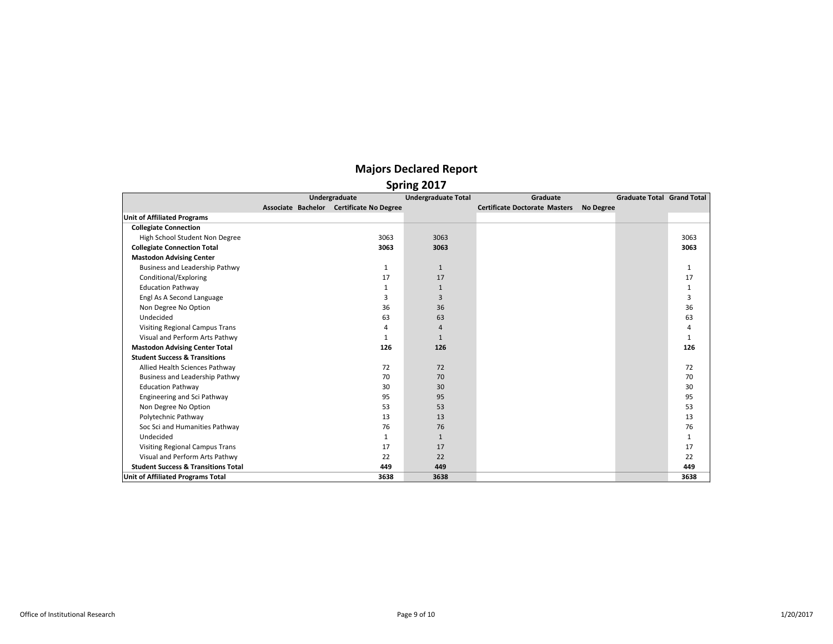|                                                | Spring 2017                              |                            |                                      |                  |                            |              |  |  |  |  |  |  |
|------------------------------------------------|------------------------------------------|----------------------------|--------------------------------------|------------------|----------------------------|--------------|--|--|--|--|--|--|
|                                                | Undergraduate                            | <b>Undergraduate Total</b> | Graduate                             |                  | Graduate Total Grand Total |              |  |  |  |  |  |  |
|                                                | Associate Bachelor Certificate No Degree |                            | <b>Certificate Doctorate Masters</b> | <b>No Degree</b> |                            |              |  |  |  |  |  |  |
| <b>Unit of Affiliated Programs</b>             |                                          |                            |                                      |                  |                            |              |  |  |  |  |  |  |
| <b>Collegiate Connection</b>                   |                                          |                            |                                      |                  |                            |              |  |  |  |  |  |  |
| High School Student Non Degree                 | 3063                                     | 3063                       |                                      |                  |                            | 3063         |  |  |  |  |  |  |
| <b>Collegiate Connection Total</b>             | 3063                                     | 3063                       |                                      |                  |                            | 3063         |  |  |  |  |  |  |
| <b>Mastodon Advising Center</b>                |                                          |                            |                                      |                  |                            |              |  |  |  |  |  |  |
| Business and Leadership Pathwy                 | $\mathbf{1}$                             | $\mathbf{1}$               |                                      |                  |                            | 1            |  |  |  |  |  |  |
| Conditional/Exploring                          | 17                                       | 17                         |                                      |                  |                            | 17           |  |  |  |  |  |  |
| <b>Education Pathway</b>                       | $\mathbf{1}$                             | 1                          |                                      |                  |                            | $\mathbf{1}$ |  |  |  |  |  |  |
| Engl As A Second Language                      | 3                                        | $\overline{3}$             |                                      |                  |                            | 3            |  |  |  |  |  |  |
| Non Degree No Option                           | 36                                       | 36                         |                                      |                  |                            | 36           |  |  |  |  |  |  |
| Undecided                                      | 63                                       | 63                         |                                      |                  |                            | 63           |  |  |  |  |  |  |
| <b>Visiting Regional Campus Trans</b>          | 4                                        | $\overline{4}$             |                                      |                  |                            | 4            |  |  |  |  |  |  |
| Visual and Perform Arts Pathwy                 | 1                                        | $\mathbf{1}$               |                                      |                  |                            | $\mathbf{1}$ |  |  |  |  |  |  |
| <b>Mastodon Advising Center Total</b>          | 126                                      | 126                        |                                      |                  |                            | 126          |  |  |  |  |  |  |
| <b>Student Success &amp; Transitions</b>       |                                          |                            |                                      |                  |                            |              |  |  |  |  |  |  |
| Allied Health Sciences Pathway                 | 72                                       | 72                         |                                      |                  |                            | 72           |  |  |  |  |  |  |
| Business and Leadership Pathwy                 | 70                                       | 70                         |                                      |                  |                            | 70           |  |  |  |  |  |  |
| <b>Education Pathway</b>                       | 30                                       | 30 <sup>2</sup>            |                                      |                  |                            | 30           |  |  |  |  |  |  |
| Engineering and Sci Pathway                    | 95                                       | 95                         |                                      |                  |                            | 95           |  |  |  |  |  |  |
| Non Degree No Option                           | 53                                       | 53                         |                                      |                  |                            | 53           |  |  |  |  |  |  |
| Polytechnic Pathway                            | 13                                       | 13                         |                                      |                  |                            | 13           |  |  |  |  |  |  |
| Soc Sci and Humanities Pathway                 | 76                                       | 76                         |                                      |                  |                            | 76           |  |  |  |  |  |  |
| Undecided                                      | $\mathbf{1}$                             | $\mathbf{1}$               |                                      |                  |                            | 1            |  |  |  |  |  |  |
| <b>Visiting Regional Campus Trans</b>          | 17                                       | 17                         |                                      |                  |                            | 17           |  |  |  |  |  |  |
| Visual and Perform Arts Pathwy                 | 22                                       | 22                         |                                      |                  |                            | 22           |  |  |  |  |  |  |
| <b>Student Success &amp; Transitions Total</b> | 449                                      | 449                        |                                      |                  |                            | 449          |  |  |  |  |  |  |
| Unit of Affiliated Programs Total              | 3638                                     | 3638                       |                                      |                  |                            | 3638         |  |  |  |  |  |  |